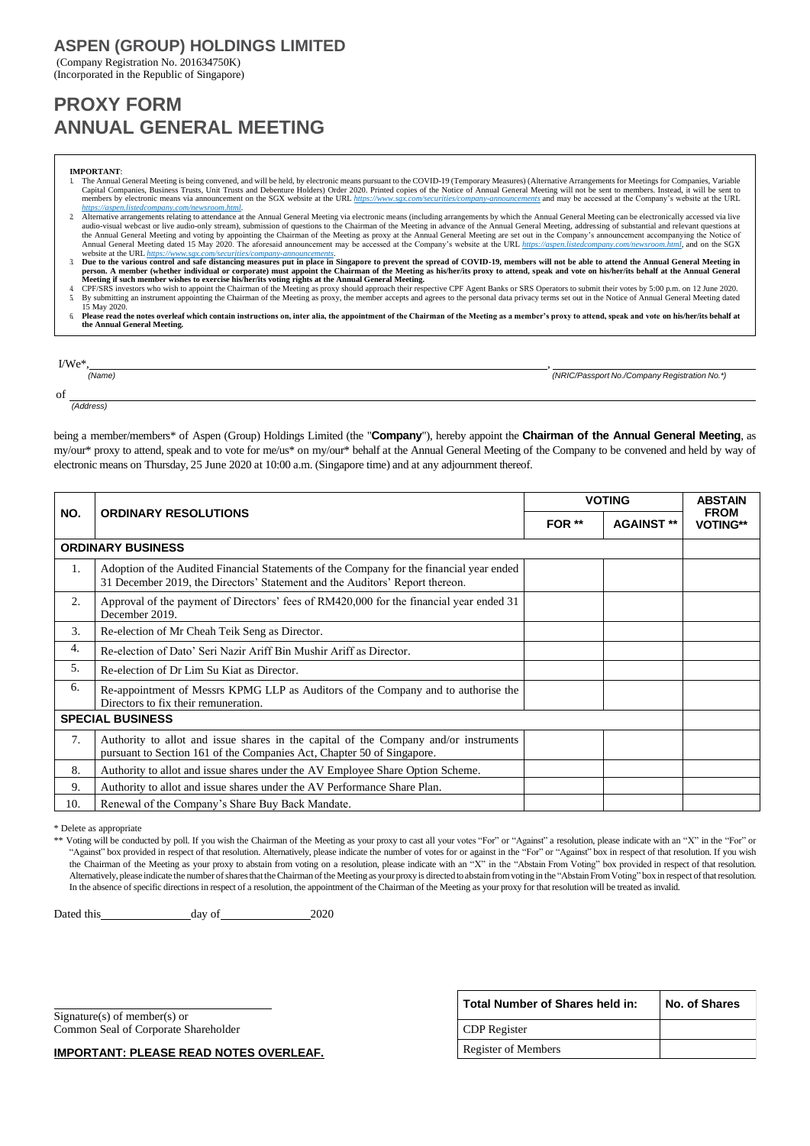# **ASPEN (GROUP) HOLDINGS LIMITED**

(Company Registration No. 201634750K) (Incorporated in the Republic of Singapore)

# **PROXY FORM ANNUAL GENERAL MEETING**

#### **IMPORTANT**:

- The Annual General Meeting is being convened, and will be held, by electronic means pursuant to the COVID-19 (Temporary Measures) (Alternative Arrangements for Meetings for Companies, Variable Capital Companies, Business Trusts, Unit Trusts and Debenture Holders) Order 2020. Printed copies of the Notice of Annual General Meeting will not be sent to members. Instead, it will be sent to<br>members by electronic means
- <https://aspen.listedcompany.com/newsroom.html>.<br>
2 Alternative arrangements relating to attendance at the Annual General Meeting in advance of the Annual General Meeting can be electronically accessed via live<br>
and General
- website at the URL <u>https[://www.sgx.com/securities/company-announcements](http://www.sgx.com/securities/company-announcements).</u><br>3 Due to the various control and safe distancing measures put in place in Singapore to prevent the spread of COVID-19, members will not be able to
- 4 CPF/SRS investors who wish to appoint the Chairman of the Meeting as proxy should approach their respective CPF Agent Banks or SRS Operators to submit their votes by 5:00 p.m. on 12 June 2020.<br>5. By submitting an instrum 15 May 2020.
- 6. **Please read the notes overleaf which contain instructions on, inter alia, the appointment of the Chairman of the Meeting as a member's proxy to attend, speak and vote on his/her/its behalf at the Annual General Meeting.**

| $I/We^*$ . |                                               |
|------------|-----------------------------------------------|
| (Name)     | (NRIC/Passport No./Company Registration No.*) |
| of         |                                               |
| (Address)  |                                               |

being a member/members\* of Aspen (Group) Holdings Limited (the "**Company**"), hereby appoint the **Chairman of the Annual General Meeting**, as my/our\* proxy to attend, speak and to vote for me/us\* on my/our\* behalf at the Annual General Meeting of the Company to be convened and held by way of electronic means on Thursday, 25 June 2020 at 10:00 a.m. (Singapore time) and at any adjournment thereof.

|                          |                                                                                                                                                                          | <b>VOTING</b> |                   | <b>ABSTAIN</b>                 |
|--------------------------|--------------------------------------------------------------------------------------------------------------------------------------------------------------------------|---------------|-------------------|--------------------------------|
| NO.                      | <b>ORDINARY RESOLUTIONS</b>                                                                                                                                              | FOR **        | <b>AGAINST **</b> | <b>FROM</b><br><b>VOTING**</b> |
| <b>ORDINARY BUSINESS</b> |                                                                                                                                                                          |               |                   |                                |
| 1.                       | Adoption of the Audited Financial Statements of the Company for the financial year ended<br>31 December 2019, the Directors' Statement and the Auditors' Report thereon. |               |                   |                                |
| 2.                       | Approval of the payment of Directors' fees of RM420,000 for the financial year ended 31<br>December 2019.                                                                |               |                   |                                |
| 3.                       | Re-election of Mr Cheah Teik Seng as Director.                                                                                                                           |               |                   |                                |
| 4.                       | Re-election of Dato' Seri Nazir Ariff Bin Mushir Ariff as Director.                                                                                                      |               |                   |                                |
| 5.                       | Re-election of Dr Lim Su Kiat as Director.                                                                                                                               |               |                   |                                |
| 6.                       | Re-appointment of Messrs KPMG LLP as Auditors of the Company and to authorise the<br>Directors to fix their remuneration.                                                |               |                   |                                |
| <b>SPECIAL BUSINESS</b>  |                                                                                                                                                                          |               |                   |                                |
| 7.                       | Authority to allot and issue shares in the capital of the Company and/or instruments<br>pursuant to Section 161 of the Companies Act, Chapter 50 of Singapore.           |               |                   |                                |
| 8.                       | Authority to allot and issue shares under the AV Employee Share Option Scheme.                                                                                           |               |                   |                                |
| 9.                       | Authority to allot and issue shares under the AV Performance Share Plan.                                                                                                 |               |                   |                                |
| 10.                      | Renewal of the Company's Share Buy Back Mandate.                                                                                                                         |               |                   |                                |

\* Delete as appropriate

\*\* Voting will be conducted by poll. If you wish the Chairman of the Meeting as your proxy to cast all your votes "For" or "Against" a resolution, please indicate with an "X" in the "For" or "Against" box provided in respect of that resolution. Alternatively, please indicate the number of votes for or against in the "For" or "Against" box in respect of that resolution. If you wish the Chairman of the Meeting as your proxy to abstain from voting on a resolution, please indicate with an "X" in the "Abstain From Voting" box provided in respect of that resolution. Alternatively, please indicate the number of shares that the Chairman of the Meeting as your proxy is directed to abstain from voting in the "Abstain From Voting" box in respect of that resolution. In the absence of specific directions in respect of a resolution, the appointment of the Chairman of the Meeting as your proxy for that resolution will be treated as invalid.

Dated this day of 2020

Signature(s) of member(s) or Common Seal of Corporate Shareholder

**Total Number of Shares held in: No. of Shares** CDP Register Register of Members

**IMPORTANT: PLEASE READ NOTES OVERLEAF.**